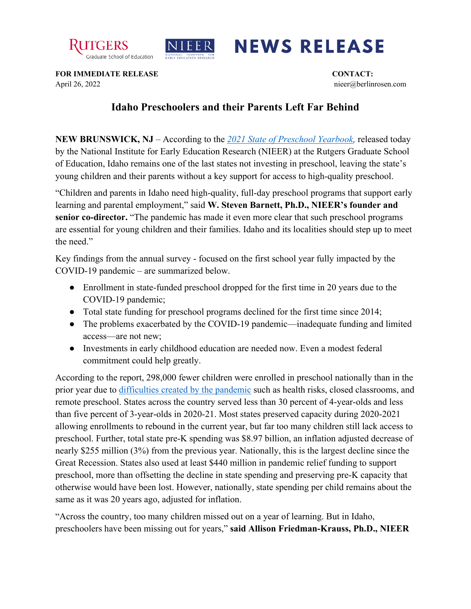



## **NEWS RELEASE**

**FOR IMMEDIATE RELEASE CONTACT:** April 26, 2022 nieer@berlinrosen.com

## **Idaho Preschoolers and their Parents Left Far Behind**

**NEW BRUNSWICK, NJ** – According to the *[2021 State of Preschool Yearbook,](https://nieer.org/state-preschool-yearbooks-yearbook2021)* released today by the National Institute for Early Education Research (NIEER) at the Rutgers Graduate School of Education, Idaho remains one of the last states not investing in preschool, leaving the state's young children and their parents without a key support for access to high-quality preschool.

"Children and parents in Idaho need high-quality, full-day preschool programs that support early learning and parental employment," said W. Steven Barnett, Ph.D., NIEER's founder and **senior co-director.** "The pandemic has made it even more clear that such preschool programs are essential for young children and their families. Idaho and its localities should step up to meet the need."

Key findings from the annual survey - focused on the first school year fully impacted by the COVID-19 pandemic – are summarized below.

- Enrollment in state-funded preschool dropped for the first time in 20 years due to the COVID-19 pandemic;
- Total state funding for preschool programs declined for the first time since 2014;
- The problems exacerbated by the COVID-19 pandemic—inadequate funding and limited access—are not new;
- Investments in early childhood education are needed now. Even a modest federal commitment could help greatly.

According to the report, 298,000 fewer children were enrolled in preschool nationally than in the prior year due to [difficulties created by the pandemic](https://nieer.org/wp-content/uploads/2021/02/NIEER_Seven_Impacts_of_the_Pandemic_on_Young_Children_and_their_Parents.pdf) such as health risks, closed classrooms, and remote preschool. States across the country served less than 30 percent of 4-year-olds and less than five percent of 3-year-olds in 2020-21. Most states preserved capacity during 2020-2021 allowing enrollments to rebound in the current year, but far too many children still lack access to preschool. Further, total state pre-K spending was \$8.97 billion, an inflation adjusted decrease of nearly \$255 million (3%) from the previous year. Nationally, this is the largest decline since the Great Recession. States also used at least \$440 million in pandemic relief funding to support preschool, more than offsetting the decline in state spending and preserving pre-K capacity that otherwise would have been lost. However, nationally, state spending per child remains about the same as it was 20 years ago, adjusted for inflation.

"Across the country, too many children missed out on a year of learning. But in Idaho, preschoolers have been missing out for years," **said Allison Friedman-Krauss, Ph.D., NIEER**